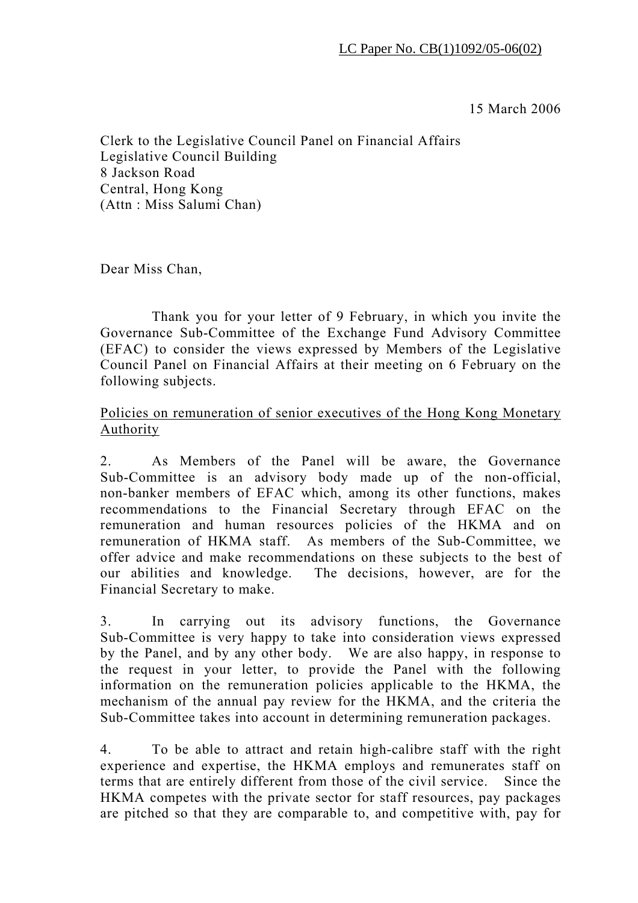15 March 2006

Clerk to the Legislative Council Panel on Financial Affairs Legislative Council Building 8 Jackson Road Central, Hong Kong (Attn : Miss Salumi Chan)

Dear Miss Chan,

 Thank you for your letter of 9 February, in which you invite the Governance Sub-Committee of the Exchange Fund Advisory Committee (EFAC) to consider the views expressed by Members of the Legislative Council Panel on Financial Affairs at their meeting on 6 February on the following subjects.

## Policies on remuneration of senior executives of the Hong Kong Monetary Authority

2. As Members of the Panel will be aware, the Governance Sub-Committee is an advisory body made up of the non-official, non-banker members of EFAC which, among its other functions, makes recommendations to the Financial Secretary through EFAC on the remuneration and human resources policies of the HKMA and on remuneration of HKMA staff. As members of the Sub-Committee, we offer advice and make recommendations on these subjects to the best of our abilities and knowledge. The decisions, however, are for the Financial Secretary to make.

3. In carrying out its advisory functions, the Governance Sub-Committee is very happy to take into consideration views expressed by the Panel, and by any other body. We are also happy, in response to the request in your letter, to provide the Panel with the following information on the remuneration policies applicable to the HKMA, the mechanism of the annual pay review for the HKMA, and the criteria the Sub-Committee takes into account in determining remuneration packages.

4. To be able to attract and retain high-calibre staff with the right experience and expertise, the HKMA employs and remunerates staff on terms that are entirely different from those of the civil service. Since the HKMA competes with the private sector for staff resources, pay packages are pitched so that they are comparable to, and competitive with, pay for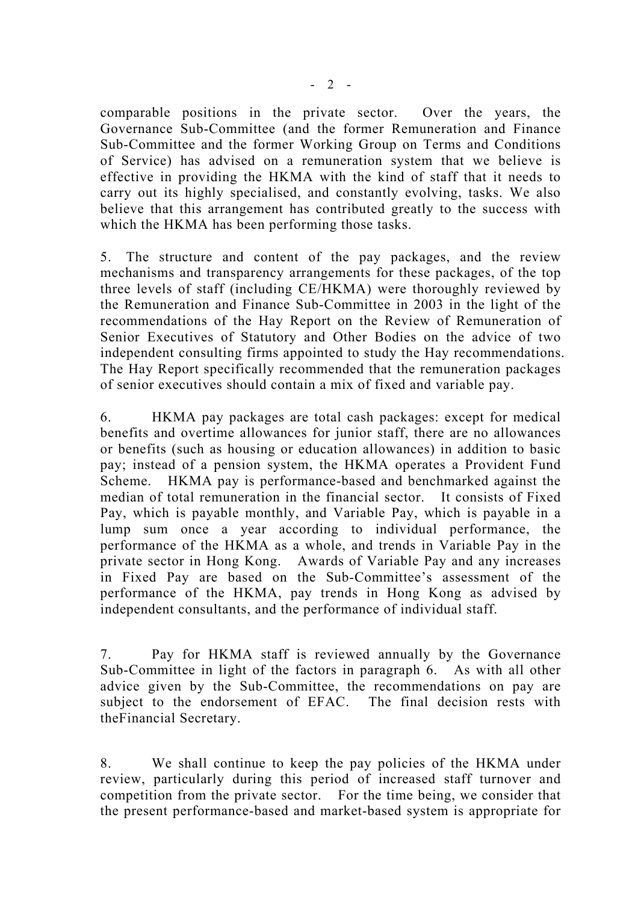comparable positions in the private sector. Over the years, the Governance Sub-Committee (and the former Remuneration and Finance Sub-Committee and the former Working Group on Terms and Conditions of Service) has advised on a remuneration system that we believe is effective in providing the HKMA with the kind of staff that it needs to carry out its highly specialised, and constantly evolving, tasks. We also believe that this arrangement has contributed greatly to the success with which the HKMA has been performing those tasks.

5. The structure and content of the pay packages, and the review mechanisms and transparency arrangements for these packages, of the top three levels of staff (including CE/HKMA) were thoroughly reviewed by the Remuneration and Finance Sub-Committee in 2003 in the light of the recommendations of the Hay Report on the Review of Remuneration of Senior Executives of Statutory and Other Bodies on the advice of two independent consulting firms appointed to study the Hay recommendations. The Hay Report specifically recommended that the remuneration packages of senior executives should contain a mix of fixed and variable pay.

6. HKMA pay packages are total cash packages: except for medical benefits and overtime allowances for junior staff, there are no allowances or benefits (such as housing or education allowances) in addition to basic pay; instead of a pension system, the HKMA operates a Provident Fund Scheme. HKMA pay is performance-based and benchmarked against the median of total remuneration in the financial sector. It consists of Fixed Pay, which is payable monthly, and Variable Pay, which is payable in a lump sum once a year according to individual performance, the performance of the HKMA as a whole, and trends in Variable Pay in the private sector in Hong Kong. Awards of Variable Pay and any increases in Fixed Pay are based on the Sub-Committee's assessment of the performance of the HKMA, pay trends in Hong Kong as advised by independent consultants, and the performance of individual staff.

7. Pay for HKMA staff is reviewed annually by the Governance Sub-Committee in light of the factors in paragraph 6. As with all other advice given by the Sub-Committee, the recommendations on pay are subject to the endorsement of EFAC. The final decision rests with theFinancial Secretary.

8. We shall continue to keep the pay policies of the HKMA under review, particularly during this period of increased staff turnover and competition from the private sector. For the time being, we consider that the present performance-based and market-based system is appropriate for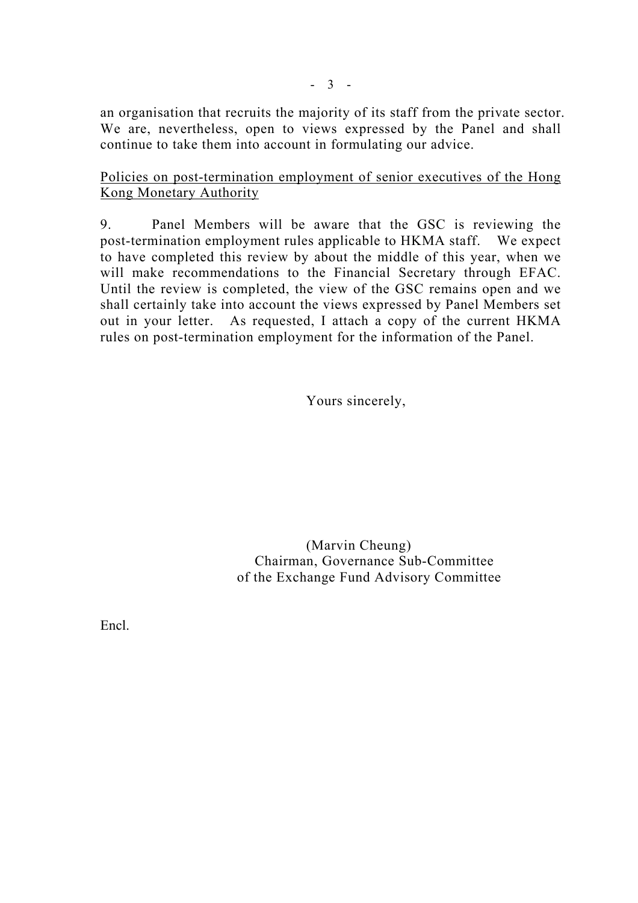an organisation that recruits the majority of its staff from the private sector. We are, nevertheless, open to views expressed by the Panel and shall continue to take them into account in formulating our advice.

Policies on post-termination employment of senior executives of the Hong Kong Monetary Authority

9. Panel Members will be aware that the GSC is reviewing the post-termination employment rules applicable to HKMA staff. We expect to have completed this review by about the middle of this year, when we will make recommendations to the Financial Secretary through EFAC. Until the review is completed, the view of the GSC remains open and we shall certainly take into account the views expressed by Panel Members set out in your letter. As requested, I attach a copy of the current HKMA rules on post-termination employment for the information of the Panel.

Yours sincerely,

 (Marvin Cheung) Chairman, Governance Sub-Committee of the Exchange Fund Advisory Committee

Encl.